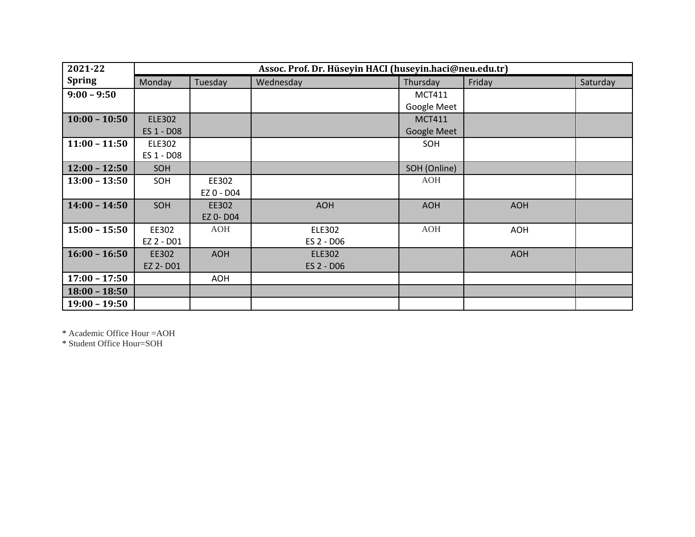| 2021-22         | Assoc. Prof. Dr. Hüseyin HACI (huseyin.haci@neu.edu.tr) |            |               |               |            |          |  |  |  |
|-----------------|---------------------------------------------------------|------------|---------------|---------------|------------|----------|--|--|--|
| <b>Spring</b>   | Monday                                                  | Tuesday    | Wednesday     | Thursday      | Friday     | Saturday |  |  |  |
| $9:00 - 9:50$   |                                                         |            |               | <b>MCT411</b> |            |          |  |  |  |
|                 |                                                         |            |               | Google Meet   |            |          |  |  |  |
| $10:00 - 10:50$ | ELE302                                                  |            |               | <b>MCT411</b> |            |          |  |  |  |
|                 | ES 1 - D08                                              |            |               | Google Meet   |            |          |  |  |  |
| $11:00 - 11:50$ | ELE302                                                  |            |               | SOH           |            |          |  |  |  |
|                 | ES 1 - D08                                              |            |               |               |            |          |  |  |  |
| $12:00 - 12:50$ | SOH                                                     |            |               | SOH (Online)  |            |          |  |  |  |
| $13:00 - 13:50$ | SOH                                                     | EE302      |               | AOH           |            |          |  |  |  |
|                 |                                                         | EZ 0 - D04 |               |               |            |          |  |  |  |
| $14:00 - 14:50$ | SOH                                                     | EE302      | <b>AOH</b>    | <b>AOH</b>    | <b>AOH</b> |          |  |  |  |
|                 |                                                         | EZ 0-D04   |               |               |            |          |  |  |  |
| $15:00 - 15:50$ | EE302                                                   | AOH        | <b>ELE302</b> | AOH           | <b>AOH</b> |          |  |  |  |
|                 | EZ 2 - D01                                              |            | ES 2 - D06    |               |            |          |  |  |  |
| $16:00 - 16:50$ | EE302                                                   | <b>AOH</b> | <b>ELE302</b> |               | <b>AOH</b> |          |  |  |  |
|                 | EZ 2- D01                                               |            | ES 2 - D06    |               |            |          |  |  |  |
| $17:00 - 17:50$ |                                                         | AOH        |               |               |            |          |  |  |  |
| $18:00 - 18:50$ |                                                         |            |               |               |            |          |  |  |  |
| $19:00 - 19:50$ |                                                         |            |               |               |            |          |  |  |  |

\* Academic Office Hour =AOH

\* Student Office Hour=SOH